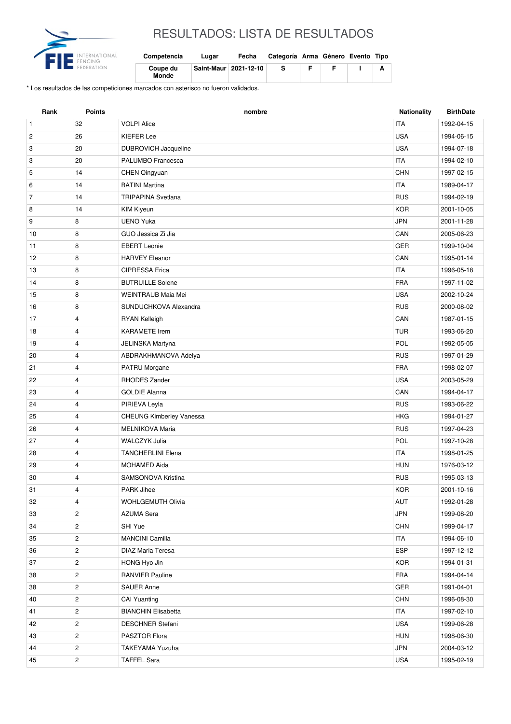

## RESULTADOS: LISTA DE RESULTADOS

| Competencia       | Lugar                 | Fecha | Categoría Arma Género Evento Tipo |  |  |
|-------------------|-----------------------|-------|-----------------------------------|--|--|
| Coupe du<br>Monde | Saint-Maur 2021-12-10 |       |                                   |  |  |

\* Los resultados de las competiciones marcados con asterisco no fueron validados.

| Rank           | <b>Points</b>  | nombre                          | <b>Nationality</b> | <b>BirthDate</b> |
|----------------|----------------|---------------------------------|--------------------|------------------|
| $\mathbf{1}$   | 32             | <b>VOLPI Alice</b>              | <b>ITA</b>         | 1992-04-15       |
| $\overline{c}$ | 26             | <b>KIEFER Lee</b>               | <b>USA</b>         | 1994-06-15       |
| 3              | 20             | DUBROVICH Jacqueline            | <b>USA</b>         | 1994-07-18       |
| 3              | 20             | PALUMBO Francesca               | <b>ITA</b>         | 1994-02-10       |
| 5              | 14             | CHEN Qingyuan                   | <b>CHN</b>         | 1997-02-15       |
| 6              | 14             | <b>BATINI Martina</b>           | <b>ITA</b>         | 1989-04-17       |
| $\overline{7}$ | 14             | <b>TRIPAPINA Svetlana</b>       | <b>RUS</b>         | 1994-02-19       |
| 8              | 14             | <b>KIM Kiyeun</b>               | <b>KOR</b>         | 2001-10-05       |
| 9              | 8              | <b>UENO Yuka</b>                | <b>JPN</b>         | 2001-11-28       |
| 10             | 8              | GUO Jessica Zi Jia              | CAN                | 2005-06-23       |
| 11             | 8              | <b>EBERT</b> Leonie             | <b>GER</b>         | 1999-10-04       |
| 12             | 8              | <b>HARVEY Eleanor</b>           | CAN                | 1995-01-14       |
| 13             | 8              | <b>CIPRESSA Erica</b>           | <b>ITA</b>         | 1996-05-18       |
| 14             | 8              | <b>BUTRUILLE Solene</b>         | <b>FRA</b>         | 1997-11-02       |
| 15             | 8              | <b>WEINTRAUB Maia Mei</b>       | <b>USA</b>         | 2002-10-24       |
| 16             | 8              | SUNDUCHKOVA Alexandra           | <b>RUS</b>         | 2000-08-02       |
| 17             | $\overline{4}$ | <b>RYAN Kelleigh</b>            | CAN                | 1987-01-15       |
| 18             | 4              | <b>KARAMETE</b> Irem            | <b>TUR</b>         | 1993-06-20       |
| 19             | 4              | JELINSKA Martyna                | POL                | 1992-05-05       |
| 20             | 4              | ABDRAKHMANOVA Adelya            | <b>RUS</b>         | 1997-01-29       |
| 21             | 4              | PATRU Morgane                   | <b>FRA</b>         | 1998-02-07       |
| 22             | 4              | <b>RHODES Zander</b>            | <b>USA</b>         | 2003-05-29       |
| 23             | 4              | <b>GOLDIE Alanna</b>            | CAN                | 1994-04-17       |
| 24             | $\overline{4}$ | PIRIEVA Leyla                   | <b>RUS</b>         | 1993-06-22       |
| 25             | 4              | <b>CHEUNG Kimberley Vanessa</b> | <b>HKG</b>         | 1994-01-27       |
| 26             | 4              | MELNIKOVA Maria                 | <b>RUS</b>         | 1997-04-23       |
| 27             | 4              | <b>WALCZYK Julia</b>            | POL                | 1997-10-28       |
| 28             | 4              | <b>TANGHERLINI Elena</b>        | <b>ITA</b>         | 1998-01-25       |
| 29             | 4              | <b>MOHAMED Aida</b>             | <b>HUN</b>         | 1976-03-12       |
| 30             | 4              | SAMSONOVA Kristina              | <b>RUS</b>         | 1995-03-13       |
| 31             | 4              | PARK Jihee                      | KOR                | 2001-10-16       |
| 32             | 4              | <b>WOHLGEMUTH Olivia</b>        | AUT                | 1992-01-28       |
| 33             | $\overline{c}$ | <b>AZUMA Sera</b>               | <b>JPN</b>         | 1999-08-20       |
| 34             | $\mathbf{2}$   | SHI Yue                         | <b>CHN</b>         | 1999-04-17       |
| 35             | $\overline{c}$ | <b>MANCINI Camilla</b>          | <b>ITA</b>         | 1994-06-10       |
| 36             | $\overline{c}$ | DIAZ Maria Teresa               | ESP                | 1997-12-12       |
| 37             | $\overline{c}$ | HONG Hyo Jin                    | <b>KOR</b>         | 1994-01-31       |
| 38             | $\overline{c}$ | <b>RANVIER Pauline</b>          | <b>FRA</b>         | 1994-04-14       |
| 38             | $\overline{c}$ | <b>SAUER Anne</b>               | GER                | 1991-04-01       |
| 40             | $\overline{c}$ | <b>CAI Yuanting</b>             | <b>CHN</b>         | 1996-08-30       |
| 41             | $\overline{c}$ | <b>BIANCHIN Elisabetta</b>      | <b>ITA</b>         | 1997-02-10       |
| 42             | $\overline{c}$ | <b>DESCHNER Stefani</b>         | USA                | 1999-06-28       |
| 43             | $\overline{c}$ | PASZTOR Flora                   | <b>HUN</b>         | 1998-06-30       |
| 44             | $\overline{c}$ | TAKEYAMA Yuzuha                 | JPN                | 2004-03-12       |
| 45             | $\mathbf{2}$   | <b>TAFFEL Sara</b>              | USA                | 1995-02-19       |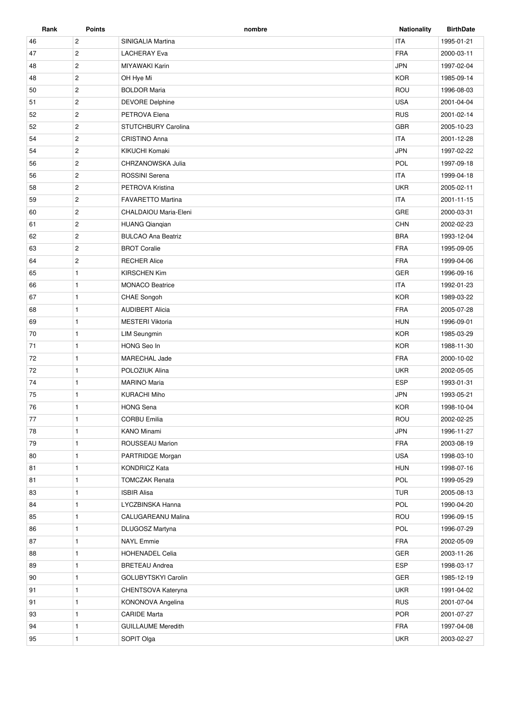| Rank | Points         | nombre                     | <b>Nationality</b> | <b>BirthDate</b> |
|------|----------------|----------------------------|--------------------|------------------|
| 46   | $\overline{c}$ | SINIGALIA Martina          | <b>ITA</b>         | 1995-01-21       |
| 47   | $\overline{c}$ | <b>LACHERAY Eva</b>        | <b>FRA</b>         | 2000-03-11       |
| 48   | $\overline{c}$ | MIYAWAKI Karin             | <b>JPN</b>         | 1997-02-04       |
| 48   | $\overline{c}$ | OH Hye Mi                  | <b>KOR</b>         | 1985-09-14       |
| 50   | $\overline{2}$ | <b>BOLDOR Maria</b>        | ROU                | 1996-08-03       |
| 51   | $\overline{2}$ | <b>DEVORE Delphine</b>     | <b>USA</b>         | 2001-04-04       |
| 52   | $\sqrt{2}$     | PETROVA Elena              | <b>RUS</b>         | 2001-02-14       |
| 52   | $\overline{2}$ | <b>STUTCHBURY Carolina</b> | GBR                | 2005-10-23       |
| 54   | $\overline{2}$ | <b>CRISTINO Anna</b>       | <b>ITA</b>         | 2001-12-28       |
| 54   | $\overline{c}$ | KIKUCHI Komaki             | <b>JPN</b>         | 1997-02-22       |
| 56   | $\overline{c}$ | CHRZANOWSKA Julia          | POL                | 1997-09-18       |
| 56   | $\overline{c}$ | ROSSINI Serena             | <b>ITA</b>         | 1999-04-18       |
| 58   | $\overline{2}$ | PETROVA Kristina           | <b>UKR</b>         | 2005-02-11       |
| 59   | $\overline{2}$ | <b>FAVARETTO Martina</b>   | <b>ITA</b>         | 2001-11-15       |
| 60   | $\mathbf{2}$   | CHALDAIOU Maria-Eleni      | GRE                | 2000-03-31       |
| 61   | $\overline{2}$ | <b>HUANG Qianqian</b>      | <b>CHN</b>         | 2002-02-23       |
| 62   | $\overline{2}$ | <b>BULCAO Ana Beatriz</b>  | <b>BRA</b>         | 1993-12-04       |
| 63   | $\sqrt{2}$     | <b>BROT Coralie</b>        | <b>FRA</b>         | 1995-09-05       |
| 64   | $\overline{2}$ | <b>RECHER Alice</b>        | <b>FRA</b>         | 1999-04-06       |
| 65   | $\mathbf{1}$   | <b>KIRSCHEN Kim</b>        | <b>GER</b>         | 1996-09-16       |
| 66   | $\mathbf{1}$   | <b>MONACO Beatrice</b>     | <b>ITA</b>         | 1992-01-23       |
| 67   | $\mathbf{1}$   | CHAE Songoh                | <b>KOR</b>         | 1989-03-22       |
| 68   | $\mathbf{1}$   | <b>AUDIBERT Alicia</b>     | <b>FRA</b>         | 2005-07-28       |
| 69   | $\mathbf{1}$   | <b>MESTERI Viktoria</b>    | <b>HUN</b>         | 1996-09-01       |
| 70   | $\mathbf{1}$   | <b>LIM Seungmin</b>        | <b>KOR</b>         | 1985-03-29       |
| 71   | $\mathbf{1}$   | HONG Seo In                | <b>KOR</b>         | 1988-11-30       |
| 72   | $\mathbf{1}$   | MARECHAL Jade              | <b>FRA</b>         | 2000-10-02       |
| 72   | $\mathbf{1}$   | POLOZIUK Alina             | <b>UKR</b>         | 2002-05-05       |
| 74   | $\mathbf{1}$   | <b>MARINO Maria</b>        | <b>ESP</b>         | 1993-01-31       |
| 75   | $\mathbf{1}$   | <b>KURACHI Miho</b>        | <b>JPN</b>         | 1993-05-21       |
| 76   | $\mathbf{1}$   | <b>HONG Sena</b>           | <b>KOR</b>         | 1998-10-04       |
| 77   | $\mathbf{1}$   | <b>CORBU Emilia</b>        | ROU                | 2002-02-25       |
| 78   | 1              | <b>KANO Minami</b>         | <b>JPN</b>         | 1996-11-27       |
| 79   | $\mathbf{1}$   | ROUSSEAU Marion            | FRA                | 2003-08-19       |
| 80   | $\mathbf{1}$   | PARTRIDGE Morgan           | <b>USA</b>         | 1998-03-10       |
| 81   | $\mathbf{1}$   | <b>KONDRICZ Kata</b>       | <b>HUN</b>         | 1998-07-16       |
| 81   | $\mathbf{1}$   | <b>TOMCZAK Renata</b>      | POL                | 1999-05-29       |
| 83   | $\mathbf{1}$   | <b>ISBIR Alisa</b>         | <b>TUR</b>         | 2005-08-13       |
| 84   | $\mathbf{1}$   | LYCZBINSKA Hanna           | POL                | 1990-04-20       |
| 85   | $\mathbf{1}$   | CALUGAREANU Malina         | ROU                | 1996-09-15       |
| 86   | $\mathbf{1}$   | DLUGOSZ Martyna            | POL                | 1996-07-29       |
| 87   | $\mathbf{1}$   | <b>NAYL</b> Emmie          | FRA                | 2002-05-09       |
| 88   | $\mathbf{1}$   | HOHENADEL Celia            | GER                | 2003-11-26       |
| 89   | $\mathbf{1}$   | <b>BRETEAU Andrea</b>      | <b>ESP</b>         | 1998-03-17       |
| 90   | $\mathbf{1}$   | GOLUBYTSKYI Carolin        | GER                | 1985-12-19       |
| 91   | $\mathbf{1}$   | CHENTSOVA Kateryna         | <b>UKR</b>         | 1991-04-02       |
| 91   | $\mathbf{1}$   | KONONOVA Angelina          | <b>RUS</b>         | 2001-07-04       |
| 93   | $\mathbf{1}$   | <b>CARIDE Marta</b>        | POR                | 2001-07-27       |
| 94   | $\mathbf{1}$   | <b>GUILLAUME Meredith</b>  | FRA                | 1997-04-08       |
| 95   | $\mathbf{1}$   | SOPIT Olga                 | <b>UKR</b>         | 2003-02-27       |
|      |                |                            |                    |                  |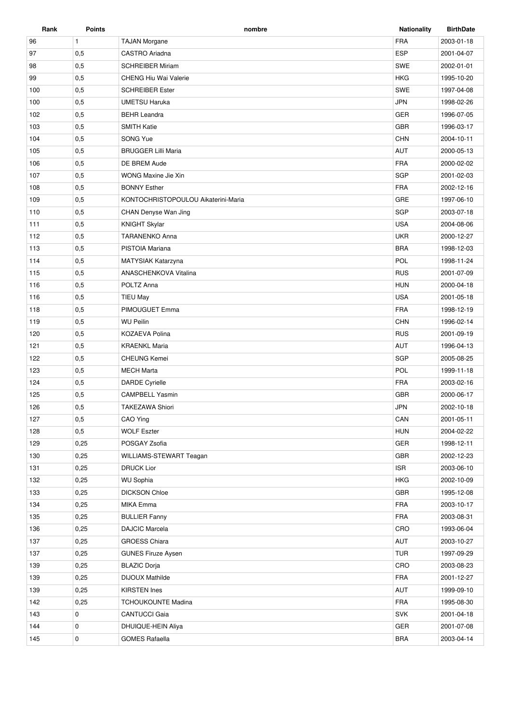| Rank | Points       | nombre                              | <b>Nationality</b> | <b>BirthDate</b> |
|------|--------------|-------------------------------------|--------------------|------------------|
| 96   | $\mathbf{1}$ | <b>TAJAN Morgane</b>                | <b>FRA</b>         | 2003-01-18       |
| 97   | 0,5          | CASTRO Ariadna                      | <b>ESP</b>         | 2001-04-07       |
| 98   | 0,5          | <b>SCHREIBER Miriam</b>             | <b>SWE</b>         | 2002-01-01       |
| 99   | 0,5          | <b>CHENG Hiu Wai Valerie</b>        | <b>HKG</b>         | 1995-10-20       |
| 100  | 0,5          | <b>SCHREIBER Ester</b>              | <b>SWE</b>         | 1997-04-08       |
| 100  | 0,5          | <b>UMETSU Haruka</b>                | <b>JPN</b>         | 1998-02-26       |
| 102  | 0,5          | <b>BEHR Leandra</b>                 | <b>GER</b>         | 1996-07-05       |
| 103  | 0,5          | <b>SMITH Katie</b>                  | <b>GBR</b>         | 1996-03-17       |
| 104  | 0,5          | SONG Yue                            | <b>CHN</b>         | 2004-10-11       |
| 105  | 0,5          | <b>BRUGGER Lilli Maria</b>          | AUT                | 2000-05-13       |
| 106  | 0,5          | DE BREM Aude                        | <b>FRA</b>         | 2000-02-02       |
| 107  | 0,5          | WONG Maxine Jie Xin                 | SGP                | 2001-02-03       |
| 108  | 0,5          | <b>BONNY Esther</b>                 | <b>FRA</b>         | 2002-12-16       |
| 109  | 0,5          | KONTOCHRISTOPOULOU Aikaterini-Maria | GRE                | 1997-06-10       |
| 110  | 0,5          | CHAN Denyse Wan Jing                | SGP                | 2003-07-18       |
| 111  | 0,5          | <b>KNIGHT Skylar</b>                | <b>USA</b>         | 2004-08-06       |
| 112  | 0,5          | <b>TARANENKO Anna</b>               | <b>UKR</b>         | 2000-12-27       |
| 113  | 0,5          | PISTOIA Mariana                     | <b>BRA</b>         | 1998-12-03       |
| 114  | 0,5          | <b>MATYSIAK Katarzyna</b>           | POL                | 1998-11-24       |
| 115  | 0,5          | ANASCHENKOVA Vitalina               | <b>RUS</b>         | 2001-07-09       |
| 116  | 0,5          | POLTZ Anna                          | <b>HUN</b>         | 2000-04-18       |
| 116  | 0,5          | <b>TIEU May</b>                     | <b>USA</b>         | 2001-05-18       |
| 118  | 0,5          | PIMOUGUET Emma                      | <b>FRA</b>         | 1998-12-19       |
| 119  | 0,5          | <b>WU Peilin</b>                    | <b>CHN</b>         | 1996-02-14       |
| 120  | 0,5          | KOZAEVA Polina                      | <b>RUS</b>         | 2001-09-19       |
| 121  | 0,5          | <b>KRAENKL Maria</b>                | AUT                | 1996-04-13       |
| 122  | 0,5          | <b>CHEUNG Kemei</b>                 | <b>SGP</b>         | 2005-08-25       |
| 123  | 0,5          | <b>MECH Marta</b>                   | POL                | 1999-11-18       |
| 124  | 0,5          | <b>DARDE Cyrielle</b>               | <b>FRA</b>         | 2003-02-16       |
| 125  | 0,5          | <b>CAMPBELL Yasmin</b>              | <b>GBR</b>         | 2000-06-17       |
| 126  | 0,5          | <b>TAKEZAWA Shiori</b>              | <b>JPN</b>         | 2002-10-18       |
| 127  | 0,5          | CAO Ying                            | CAN                | 2001-05-11       |
| 128  | 0,5          | <b>WOLF Eszter</b>                  | <b>HUN</b>         | 2004-02-22       |
| 129  | 0,25         | POSGAY Zsofia                       | GER                | 1998-12-11       |
| 130  | 0,25         | WILLIAMS-STEWART Teagan             | GBR                | 2002-12-23       |
| 131  | 0,25         | <b>DRUCK Lior</b>                   | <b>ISR</b>         | 2003-06-10       |
| 132  | 0,25         | <b>WU Sophia</b>                    | <b>HKG</b>         | 2002-10-09       |
| 133  | 0,25         | <b>DICKSON Chloe</b>                | GBR                | 1995-12-08       |
| 134  | 0,25         | MIKA Emma                           | <b>FRA</b>         | 2003-10-17       |
| 135  | 0,25         | <b>BULLIER Fanny</b>                | FRA                | 2003-08-31       |
| 136  | 0,25         | DAJCIC Marcela                      | CRO                | 1993-06-04       |
| 137  | 0,25         | <b>GROESS Chiara</b>                | AUT                | 2003-10-27       |
| 137  | 0,25         | <b>GUNES Firuze Aysen</b>           | <b>TUR</b>         | 1997-09-29       |
| 139  | 0,25         | <b>BLAZIC Dorja</b>                 | CRO                | 2003-08-23       |
| 139  | 0,25         | <b>DIJOUX Mathilde</b>              | FRA                | 2001-12-27       |
| 139  | 0,25         | <b>KIRSTEN Ines</b>                 | AUT                | 1999-09-10       |
| 142  | 0,25         | <b>TCHOUKOUNTE Madina</b>           | FRA                | 1995-08-30       |
| 143  | $\mathbf 0$  | <b>CANTUCCI Gaia</b>                | <b>SVK</b>         | 2001-04-18       |
| 144  | 0            | DHUIQUE-HEIN Aliya                  | GER                | 2001-07-08       |
| 145  | $\mathbf 0$  | <b>GOMES Rafaella</b>               | <b>BRA</b>         | 2003-04-14       |
|      |              |                                     |                    |                  |